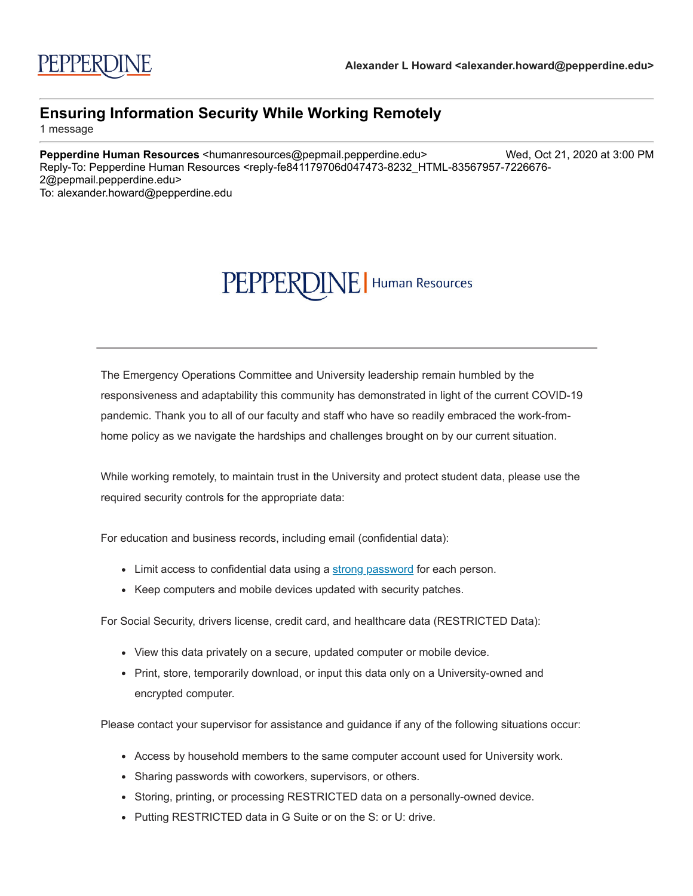## PEPPERDINE | Human Resources

The Emergency Operations Committee and University leadership remain humbled by the responsiveness and adaptability this community has demonstrated in light of the current COVID-19 pandemic. Thank you to all of our faculty and staff who have so readily embraced the work-fromhome policy as we navigate the hardships and challenges brought on by our current situation.

While working remotely, to maintain trust in the University and protect student data, please use the required security controls for the appropriate data:

For education and business records, including email (confidential data):

- Limit access to confidential data using a [strong password](http://click.pepmail.pepperdine.edu/?qs=74b6e3276fe5e43f97103f8f799f7547b8d98d7e5c304d0590a24050509f446d529770fd8441a4716d0391e6e981652bf5405d9944e1192c) for each person.
- Keep computers and mobile devices updated with security patches.

For Social Security, drivers license, credit card, and healthcare data (RESTRICTED Data):

- View this data privately on a secure, updated computer or mobile device.
- Print, store, temporarily download, or input this data only on a University-owned and encrypted computer.

Please contact your supervisor for assistance and guidance if any of the following situations occur:

- Access by household members to the same computer account used for University work.
- Sharing passwords with coworkers, supervisors, or others.
- Storing, printing, or processing RESTRICTED data on a personally-owned device.
- Putting RESTRICTED data in G Suite or on the S: or U: drive.